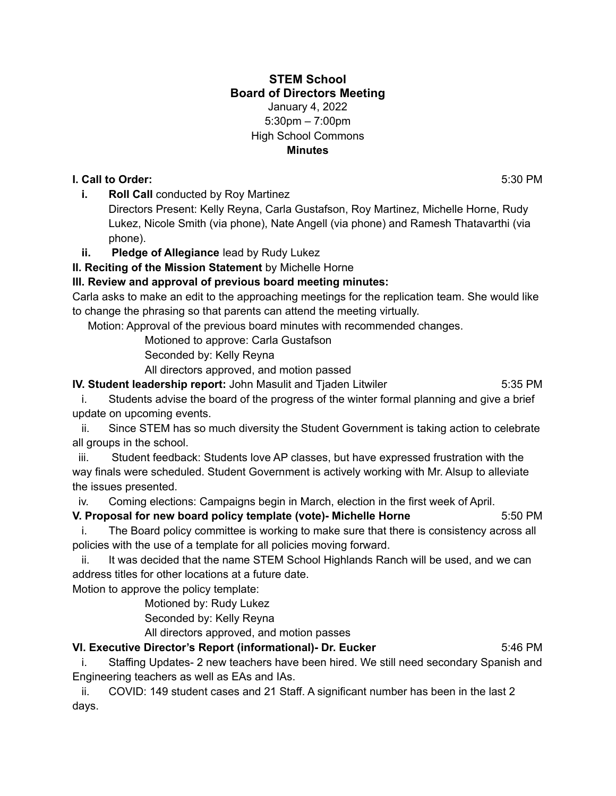#### **STEM School Board of Directors Meeting** January 4, 2022 5:30pm – 7:00pm High School Commons **Minutes**

## **I. Call to Order:** 5:30 PM

**i. Roll Call** conducted by Roy Martinez

Directors Present: Kelly Reyna, Carla Gustafson, Roy Martinez, Michelle Horne, Rudy Lukez, Nicole Smith (via phone), Nate Angell (via phone) and Ramesh Thatavarthi (via phone).

## **ii. Pledge of Allegiance** lead by Rudy Lukez

**II. Reciting of the Mission Statement** by Michelle Horne

## **III. Review and approval of previous board meeting minutes:**

Carla asks to make an edit to the approaching meetings for the replication team. She would like to change the phrasing so that parents can attend the meeting virtually.

Motion: Approval of the previous board minutes with recommended changes.

Motioned to approve: Carla Gustafson

Seconded by: Kelly Reyna

All directors approved, and motion passed

**IV. Student leadership report:** John Masulit and Tjaden Litwiler **5:35 PM** 5:35 PM

i. Students advise the board of the progress of the winter formal planning and give a brief update on upcoming events.

ii. Since STEM has so much diversity the Student Government is taking action to celebrate all groups in the school.

iii. Student feedback: Students love AP classes, but have expressed frustration with the way finals were scheduled. Student Government is actively working with Mr. Alsup to alleviate the issues presented.

iv. Coming elections: Campaigns begin in March, election in the first week of April.

**V. Proposal for new board policy template (vote)- Michelle Horne** 5:50 PM

i. The Board policy committee is working to make sure that there is consistency across all policies with the use of a template for all policies moving forward.

ii. It was decided that the name STEM School Highlands Ranch will be used, and we can address titles for other locations at a future date.

Motion to approve the policy template:

Motioned by: Rudy Lukez

Seconded by: Kelly Reyna

All directors approved, and motion passes **VI. Executive Director's Report (informational)- Dr. Eucker** 5:46 PM

i. Staffing Updates- 2 new teachers have been hired. We still need secondary Spanish and Engineering teachers as well as EAs and IAs.

ii. COVID: 149 student cases and 21 Staff. A significant number has been in the last 2 days.